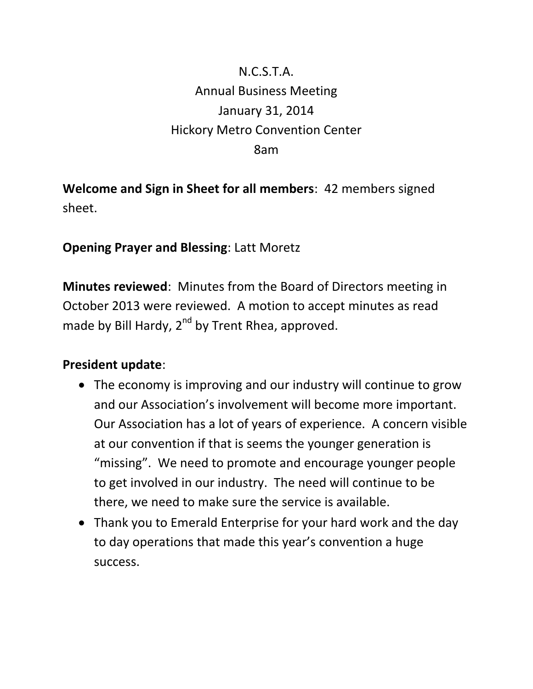# N.C.S.T.A. Annual Business Meeting January 31, 2014 Hickory Metro Convention Center 8am

**Welcome and Sign in Sheet for all members**: 42 members signed sheet.

#### **Opening Prayer and Blessing**: Latt Moretz

**Minutes reviewed**: Minutes from the Board of Directors meeting in October 2013 were reviewed. A motion to accept minutes as read made by Bill Hardy,  $2^{nd}$  by Trent Rhea, approved.

#### **President update**:

- The economy is improving and our industry will continue to grow and our Association's involvement will become more important. Our Association has a lot of years of experience. A concern visible at our convention if that is seems the younger generation is "missing". We need to promote and encourage younger people to get involved in our industry. The need will continue to be there, we need to make sure the service is available.
- Thank you to Emerald Enterprise for your hard work and the day to day operations that made this year's convention a huge success.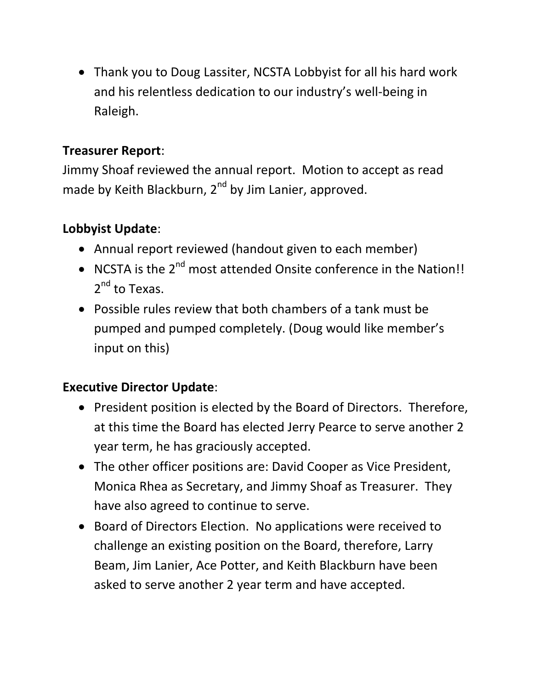Thank you to Doug Lassiter, NCSTA Lobbyist for all his hard work and his relentless dedication to our industry's well-being in Raleigh.

## **Treasurer Report**:

Jimmy Shoaf reviewed the annual report. Motion to accept as read made by Keith Blackburn, 2<sup>nd</sup> by Jim Lanier, approved.

## **Lobbyist Update**:

- Annual report reviewed (handout given to each member)
- NCSTA is the 2<sup>nd</sup> most attended Onsite conference in the Nation!! 2<sup>nd</sup> to Texas.
- Possible rules review that both chambers of a tank must be pumped and pumped completely. (Doug would like member's input on this)

## **Executive Director Update**:

- President position is elected by the Board of Directors. Therefore, at this time the Board has elected Jerry Pearce to serve another 2 year term, he has graciously accepted.
- The other officer positions are: David Cooper as Vice President, Monica Rhea as Secretary, and Jimmy Shoaf as Treasurer. They have also agreed to continue to serve.
- Board of Directors Election. No applications were received to challenge an existing position on the Board, therefore, Larry Beam, Jim Lanier, Ace Potter, and Keith Blackburn have been asked to serve another 2 year term and have accepted.